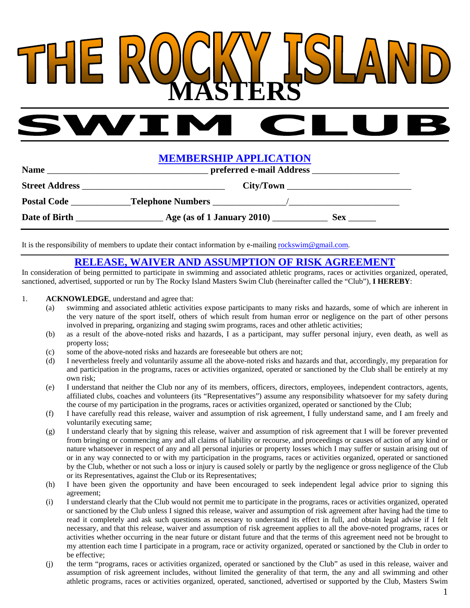## THE **MASTERS**

## **MEMBERSHIP APPLICATION**

| <b>Name</b>           | preferred e-mail Address                            |  |
|-----------------------|-----------------------------------------------------|--|
| <b>Street Address</b> |                                                     |  |
| <b>Postal Code</b>    |                                                     |  |
| Date of Birth         | Age (as of 1 January 2010) __________<br><b>Sex</b> |  |

It is the responsibility of members to update their contact information by e-mailing rockswim@gmail.com.

## **RELEASE, WAIVER AND ASSUMPTION OF RISK AGREEMENT**

In consideration of being permitted to participate in swimming and associated athletic programs, races or activities organized, operated, sanctioned, advertised, supported or run by The Rocky Island Masters Swim Club (hereinafter called the "Club"), **I HEREBY**:

## 1. **ACKNOWLEDGE**, understand and agree that:

- (a) swimming and associated athletic activities expose participants to many risks and hazards, some of which are inherent in the very nature of the sport itself, others of which result from human error or negligence on the part of other persons involved in preparing, organizing and staging swim programs, races and other athletic activities;
- (b) as a result of the above-noted risks and hazards, I as a participant, may suffer personal injury, even death, as well as property loss;
- (c) some of the above-noted risks and hazards are foreseeable but others are not;
- (d) I nevertheless freely and voluntarily assume all the above-noted risks and hazards and that, accordingly, my preparation for and participation in the programs, races or activities organized, operated or sanctioned by the Club shall be entirely at my own risk;
- (e) I understand that neither the Club nor any of its members, officers, directors, employees, independent contractors, agents, affiliated clubs, coaches and volunteers (its "Representatives") assume any responsibility whatsoever for my safety during the course of my participation in the programs, races or activities organized, operated or sanctioned by the Club;
- (f) I have carefully read this release, waiver and assumption of risk agreement, I fully understand same, and I am freely and voluntarily executing same;
- (g) I understand clearly that by signing this release, waiver and assumption of risk agreement that I will be forever prevented from bringing or commencing any and all claims of liability or recourse, and proceedings or causes of action of any kind or nature whatsoever in respect of any and all personal injuries or property losses which I may suffer or sustain arising out of or in any way connected to or with my participation in the programs, races or activities organized, operated or sanctioned by the Club, whether or not such a loss or injury is caused solely or partly by the negligence or gross negligence of the Club or its Representatives, against the Club or its Representatives;
- (h) I have been given the opportunity and have been encouraged to seek independent legal advice prior to signing this agreement;
- (i) I understand clearly that the Club would not permit me to participate in the programs, races or activities organized, operated or sanctioned by the Club unless I signed this release, waiver and assumption of risk agreement after having had the time to read it completely and ask such questions as necessary to understand its effect in full, and obtain legal advise if I felt necessary, and that this release, waiver and assumption of risk agreement applies to all the above-noted programs, races or activities whether occurring in the near future or distant future and that the terms of this agreement need not be brought to my attention each time I participate in a program, race or activity organized, operated or sanctioned by the Club in order to be effective;
- (j) the term "programs, races or activities organized, operated or sanctioned by the Club" as used in this release, waiver and assumption of risk agreement includes, without limited the generality of that term, the any and all swimming and other athletic programs, races or activities organized, operated, sanctioned, advertised or supported by the Club, Masters Swim